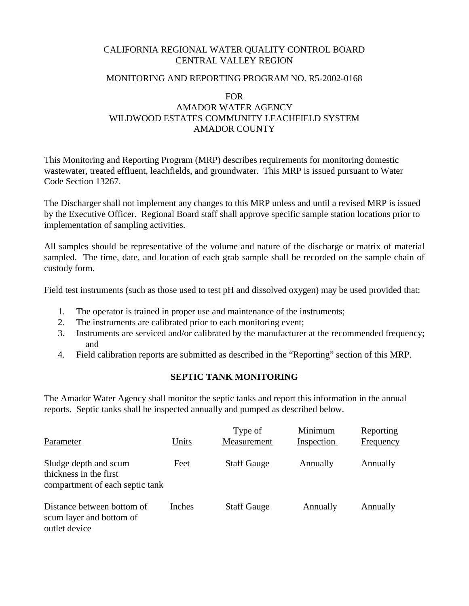## CALIFORNIA REGIONAL WATER QUALITY CONTROL BOARD CENTRAL VALLEY REGION

### MONITORING AND REPORTING PROGRAM NO. R5-2002-0168

### FOR

# AMADOR WATER AGENCY WILDWOOD ESTATES COMMUNITY LEACHFIELD SYSTEM AMADOR COUNTY

This Monitoring and Reporting Program (MRP) describes requirements for monitoring domestic wastewater, treated effluent, leachfields, and groundwater. This MRP is issued pursuant to Water Code Section 13267.

The Discharger shall not implement any changes to this MRP unless and until a revised MRP is issued by the Executive Officer. Regional Board staff shall approve specific sample station locations prior to implementation of sampling activities.

All samples should be representative of the volume and nature of the discharge or matrix of material sampled. The time, date, and location of each grab sample shall be recorded on the sample chain of custody form.

Field test instruments (such as those used to test pH and dissolved oxygen) may be used provided that:

- 1. The operator is trained in proper use and maintenance of the instruments;
- 2. The instruments are calibrated prior to each monitoring event;
- 3. Instruments are serviced and/or calibrated by the manufacturer at the recommended frequency; and
- 4. Field calibration reports are submitted as described in the "Reporting" section of this MRP.

## **SEPTIC TANK MONITORING**

The Amador Water Agency shall monitor the septic tanks and report this information in the annual reports. Septic tanks shall be inspected annually and pumped as described below.

| Parameter                                                                          | Units  | Type of<br>Measurement | Minimum<br>Inspection | Reporting<br>Frequency |
|------------------------------------------------------------------------------------|--------|------------------------|-----------------------|------------------------|
| Sludge depth and scum<br>thickness in the first<br>compartment of each septic tank | Feet   | <b>Staff Gauge</b>     | Annually              | Annually               |
| Distance between bottom of<br>scum layer and bottom of<br>outlet device            | Inches | <b>Staff Gauge</b>     | Annually              | Annually               |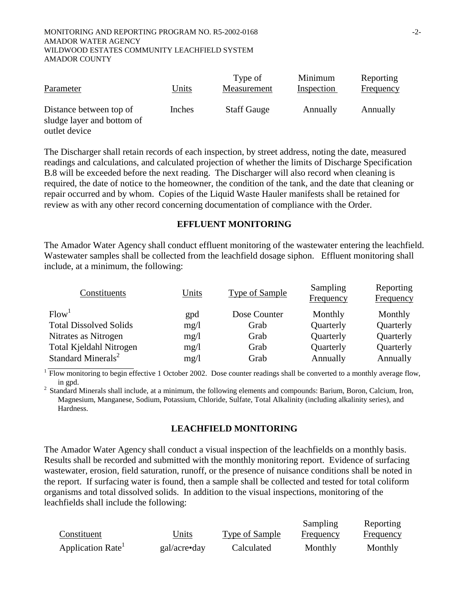| Parameter                                                              | Units  | Type of<br>Measurement | Minimum<br>Inspection | Reporting<br>Frequency |
|------------------------------------------------------------------------|--------|------------------------|-----------------------|------------------------|
| Distance between top of<br>sludge layer and bottom of<br>outlet device | Inches | <b>Staff Gauge</b>     | Annually              | Annually               |

The Discharger shall retain records of each inspection, by street address, noting the date, measured readings and calculations, and calculated projection of whether the limits of Discharge Specification B.8 will be exceeded before the next reading. The Discharger will also record when cleaning is required, the date of notice to the homeowner, the condition of the tank, and the date that cleaning or repair occurred and by whom. Copies of the Liquid Waste Hauler manifests shall be retained for review as with any other record concerning documentation of compliance with the Order.

### **EFFLUENT MONITORING**

The Amador Water Agency shall conduct effluent monitoring of the wastewater entering the leachfield. Wastewater samples shall be collected from the leachfield dosage siphon. Effluent monitoring shall include, at a minimum, the following:

| Constituents                   | Units | Sampling<br>Type of Sample<br>Frequency |           | Reporting<br>Frequency |  |
|--------------------------------|-------|-----------------------------------------|-----------|------------------------|--|
| Flow <sup>1</sup>              | gpd   | Dose Counter                            | Monthly   | Monthly                |  |
| <b>Total Dissolved Solids</b>  | mg/1  | Grab                                    | Quarterly | Quarterly              |  |
| Nitrates as Nitrogen           | mg/l  | Grab                                    | Quarterly | Quarterly              |  |
| Total Kjeldahl Nitrogen        | mg/1  | Grab                                    | Quarterly | Quarterly              |  |
| Standard Minerals <sup>2</sup> | mg/1  | Grab                                    | Annually  | Annually               |  |

 $1$  Flow monitoring to begin effective 1 October 2002. Dose counter readings shall be converted to a monthly average flow,

in gpd. 2 Standard Minerals shall include, at a minimum, the following elements and compounds: Barium, Boron, Calcium, Iron, Magnesium, Manganese, Sodium, Potassium, Chloride, Sulfate, Total Alkalinity (including alkalinity series), and Hardness.

### **LEACHFIELD MONITORING**

The Amador Water Agency shall conduct a visual inspection of the leachfields on a monthly basis. Results shall be recorded and submitted with the monthly monitoring report. Evidence of surfacing wastewater, erosion, field saturation, runoff, or the presence of nuisance conditions shall be noted in the report. If surfacing water is found, then a sample shall be collected and tested for total coliform organisms and total dissolved solids. In addition to the visual inspections, monitoring of the leachfields shall include the following:

|                  |              |                | Sampling  | Reporting |
|------------------|--------------|----------------|-----------|-----------|
| Constituent      | Units        | Type of Sample | Frequency | Frequency |
| Application Rate | gal/acre•day | Calculated     | Monthly   | Monthly   |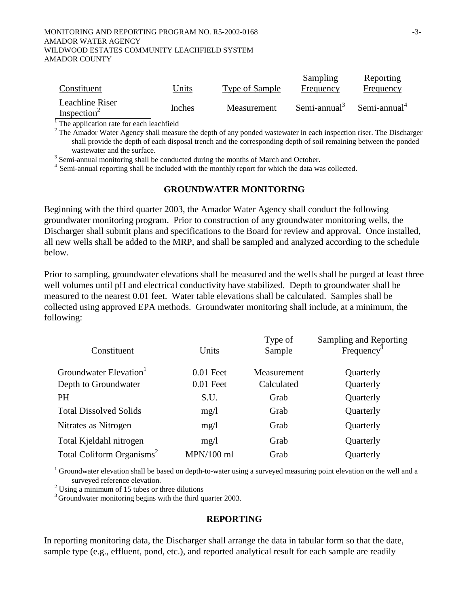#### MONITORING AND REPORTING PROGRAM NO. R5-2002-0168  $-3$ -AMADOR WATER AGENCY WILDWOOD ESTATES COMMUNITY LEACHFIELD SYSTEM AMADOR COUNTY

| Constituent             | Units  | Type of Sample | Sampling<br>Frequency | Reporting<br>Frequency   |
|-------------------------|--------|----------------|-----------------------|--------------------------|
| Leachline Riser         |        |                |                       |                          |
| Inspection <sup>2</sup> | Inches | Measurement    | Semi-annual $3$       | Semi-annual <sup>4</sup> |

<sup>1</sup>The application rate for each leachfield

 $2^2$  The Amador Water Agency shall measure the depth of any ponded wastewater in each inspection riser. The Discharger shall provide the depth of each disposal trench and the corresponding depth of soil remaining between the ponded

wastewater and the surface.<br><sup>3</sup> Semi-annual monitoring shall be conducted during the months of March and October.

<sup>4</sup> Semi-annual reporting shall be included with the monthly report for which the data was collected.

### **GROUNDWATER MONITORING**

Beginning with the third quarter 2003, the Amador Water Agency shall conduct the following groundwater monitoring program. Prior to construction of any groundwater monitoring wells, the Discharger shall submit plans and specifications to the Board for review and approval. Once installed, all new wells shall be added to the MRP, and shall be sampled and analyzed according to the schedule below.

Prior to sampling, groundwater elevations shall be measured and the wells shall be purged at least three well volumes until pH and electrical conductivity have stabilized. Depth to groundwater shall be measured to the nearest 0.01 feet. Water table elevations shall be calculated. Samples shall be collected using approved EPA methods. Groundwater monitoring shall include, at a minimum, the following:

| Constituent                           | Units        | Type of<br>Sample | Sampling and Reporting<br>Frequency |
|---------------------------------------|--------------|-------------------|-------------------------------------|
| Groundwater Elevation <sup>1</sup>    |              |                   |                                     |
|                                       | $0.01$ Feet  | Measurement       | Quarterly                           |
| Depth to Groundwater                  | $0.01$ Feet  | Calculated        | Quarterly                           |
| <b>PH</b>                             | S.U.         | Grab              | Quarterly                           |
| <b>Total Dissolved Solids</b>         | mg/1         | Grab              | Quarterly                           |
| Nitrates as Nitrogen                  | mg/1         | Grab              | Quarterly                           |
| Total Kjeldahl nitrogen               | mg/1         | Grab              | Quarterly                           |
| Total Coliform Organisms <sup>2</sup> | $MPN/100$ ml | Grab              | Quarterly                           |
|                                       |              |                   |                                     |

 $1$  Groundwater elevation shall be based on depth-to-water using a surveyed measuring point elevation on the well and a surveyed reference elevation.

 $2$  Using a minimum of 15 tubes or three dilutions

<sup>3</sup> Groundwater monitoring begins with the third quarter 2003.

### **REPORTING**

In reporting monitoring data, the Discharger shall arrange the data in tabular form so that the date, sample type (e.g., effluent, pond, etc.), and reported analytical result for each sample are readily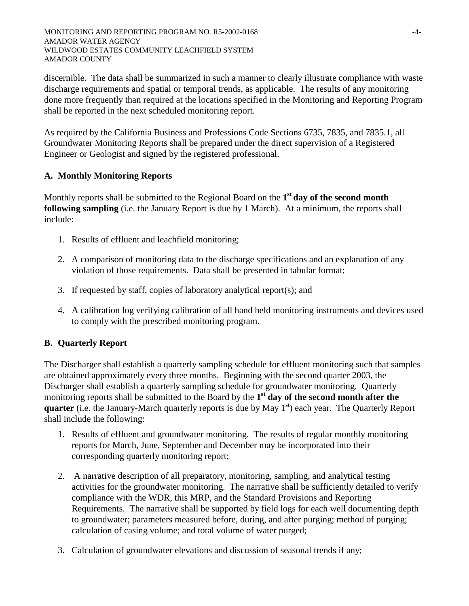discernible. The data shall be summarized in such a manner to clearly illustrate compliance with waste discharge requirements and spatial or temporal trends, as applicable. The results of any monitoring done more frequently than required at the locations specified in the Monitoring and Reporting Program shall be reported in the next scheduled monitoring report.

As required by the California Business and Professions Code Sections 6735, 7835, and 7835.1, all Groundwater Monitoring Reports shall be prepared under the direct supervision of a Registered Engineer or Geologist and signed by the registered professional.

# **A. Monthly Monitoring Reports**

Monthly reports shall be submitted to the Regional Board on the **1st day of the second month following sampling** (i.e. the January Report is due by 1 March). At a minimum, the reports shall include:

- 1. Results of effluent and leachfield monitoring;
- 2. A comparison of monitoring data to the discharge specifications and an explanation of any violation of those requirements. Data shall be presented in tabular format;
- 3. If requested by staff, copies of laboratory analytical report(s); and
- 4. A calibration log verifying calibration of all hand held monitoring instruments and devices used to comply with the prescribed monitoring program.

# **B. Quarterly Report**

The Discharger shall establish a quarterly sampling schedule for effluent monitoring such that samples are obtained approximately every three months. Beginning with the second quarter 2003, the Discharger shall establish a quarterly sampling schedule for groundwater monitoring. Quarterly monitoring reports shall be submitted to the Board by the **1st day of the second month after the quarter** (i.e. the January-March quarterly reports is due by May 1<sup>st</sup>) each year. The Quarterly Report shall include the following:

- 1. Results of effluent and groundwater monitoring. The results of regular monthly monitoring reports for March, June, September and December may be incorporated into their corresponding quarterly monitoring report;
- 2. A narrative description of all preparatory, monitoring, sampling, and analytical testing activities for the groundwater monitoring. The narrative shall be sufficiently detailed to verify compliance with the WDR, this MRP, and the Standard Provisions and Reporting Requirements. The narrative shall be supported by field logs for each well documenting depth to groundwater; parameters measured before, during, and after purging; method of purging; calculation of casing volume; and total volume of water purged;
- 3. Calculation of groundwater elevations and discussion of seasonal trends if any;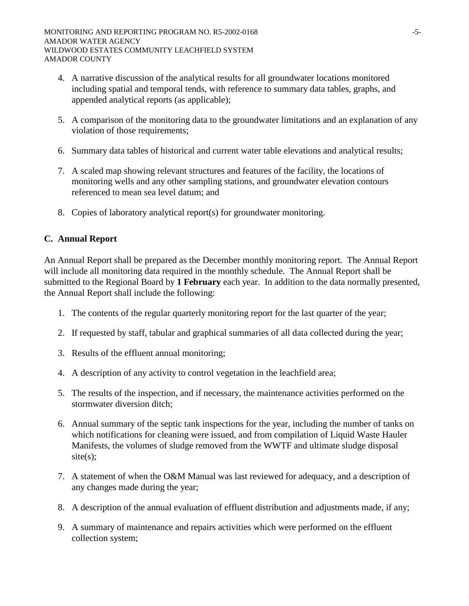- 4. A narrative discussion of the analytical results for all groundwater locations monitored including spatial and temporal tends, with reference to summary data tables, graphs, and appended analytical reports (as applicable);
- 5. A comparison of the monitoring data to the groundwater limitations and an explanation of any violation of those requirements;
- 6. Summary data tables of historical and current water table elevations and analytical results;
- 7. A scaled map showing relevant structures and features of the facility, the locations of monitoring wells and any other sampling stations, and groundwater elevation contours referenced to mean sea level datum; and
- 8. Copies of laboratory analytical report(s) for groundwater monitoring.

## **C. Annual Report**

An Annual Report shall be prepared as the December monthly monitoring report. The Annual Report will include all monitoring data required in the monthly schedule. The Annual Report shall be submitted to the Regional Board by **1 February** each year. In addition to the data normally presented, the Annual Report shall include the following:

- 1. The contents of the regular quarterly monitoring report for the last quarter of the year;
- 2. If requested by staff, tabular and graphical summaries of all data collected during the year;
- 3. Results of the effluent annual monitoring;
- 4. A description of any activity to control vegetation in the leachfield area;
- 5. The results of the inspection, and if necessary, the maintenance activities performed on the stormwater diversion ditch;
- 6. Annual summary of the septic tank inspections for the year, including the number of tanks on which notifications for cleaning were issued, and from compilation of Liquid Waste Hauler Manifests, the volumes of sludge removed from the WWTF and ultimate sludge disposal site(s);
- 7. A statement of when the O&M Manual was last reviewed for adequacy, and a description of any changes made during the year;
- 8. A description of the annual evaluation of effluent distribution and adjustments made, if any;
- 9. A summary of maintenance and repairs activities which were performed on the effluent collection system;